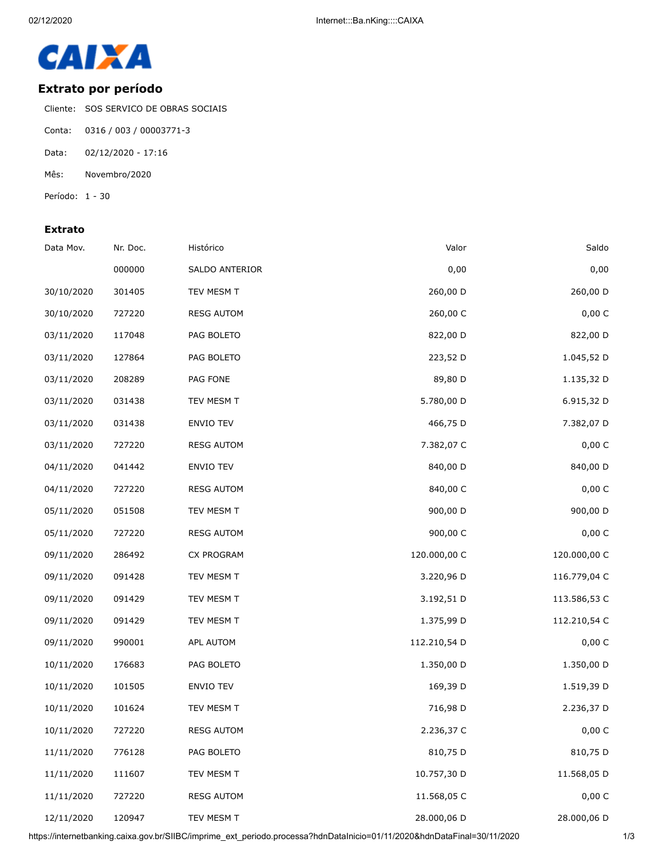

## **Extrato por período**

Cliente: SOS SERVICO DE OBRAS SOCIAIS

- Conta: 0316 / 003 / 00003771-3
- Data: 02/12/2020 17:16
- Mês: Novembro/2020

Período: 1 - 30

## **Extrato**

| Data Mov.  | Nr. Doc. | Histórico         | Valor        | Saldo        |
|------------|----------|-------------------|--------------|--------------|
|            | 000000   | SALDO ANTERIOR    | 0,00         | 0,00         |
| 30/10/2020 | 301405   | TEV MESM T        | 260,00 D     | 260,00 D     |
| 30/10/2020 | 727220   | <b>RESG AUTOM</b> | 260,00 C     | 0,00 C       |
| 03/11/2020 | 117048   | PAG BOLETO        | 822,00 D     | 822,00 D     |
| 03/11/2020 | 127864   | PAG BOLETO        | 223,52 D     | 1.045,52 D   |
| 03/11/2020 | 208289   | PAG FONE          | 89,80 D      | 1.135,32 D   |
| 03/11/2020 | 031438   | TEV MESM T        | 5.780,00 D   | 6.915,32 D   |
| 03/11/2020 | 031438   | ENVIO TEV         | 466,75 D     | 7.382,07 D   |
| 03/11/2020 | 727220   | <b>RESG AUTOM</b> | 7.382,07 C   | 0,00 C       |
| 04/11/2020 | 041442   | ENVIO TEV         | 840,00 D     | 840,00 D     |
| 04/11/2020 | 727220   | <b>RESG AUTOM</b> | 840,00 C     | 0,00 C       |
| 05/11/2020 | 051508   | TEV MESM T        | 900,00 D     | 900,00 D     |
| 05/11/2020 | 727220   | <b>RESG AUTOM</b> | 900,00 C     | 0,00 C       |
| 09/11/2020 | 286492   | CX PROGRAM        | 120.000,00 C | 120.000,00 C |
| 09/11/2020 | 091428   | TEV MESM T        | 3.220,96 D   | 116.779,04 C |
| 09/11/2020 | 091429   | TEV MESM T        | 3.192,51 D   | 113.586,53 C |
| 09/11/2020 | 091429   | TEV MESM T        | 1.375,99 D   | 112.210,54 C |
| 09/11/2020 | 990001   | APL AUTOM         | 112.210,54 D | 0,00 C       |
| 10/11/2020 | 176683   | PAG BOLETO        | 1.350,00 D   | 1.350,00 D   |
| 10/11/2020 | 101505   | ENVIO TEV         | 169,39 D     | 1.519,39 D   |
| 10/11/2020 | 101624   | TEV MESM T        | 716,98 D     | 2.236,37 D   |
| 10/11/2020 | 727220   | <b>RESG AUTOM</b> | 2.236,37 C   | 0,00 C       |
| 11/11/2020 | 776128   | PAG BOLETO        | 810,75 D     | 810,75 D     |
| 11/11/2020 | 111607   | TEV MESM T        | 10.757,30 D  | 11.568,05 D  |
| 11/11/2020 | 727220   | <b>RESG AUTOM</b> | 11.568,05 C  | 0,00 C       |
| 12/11/2020 | 120947   | TEV MESM T        | 28.000,06 D  | 28.000,06 D  |

https://internetbanking.caixa.gov.br/SIIBC/imprime\_ext\_periodo.processa?hdnDataInicio=01/11/2020&hdnDataFinal=30/11/2020 1/3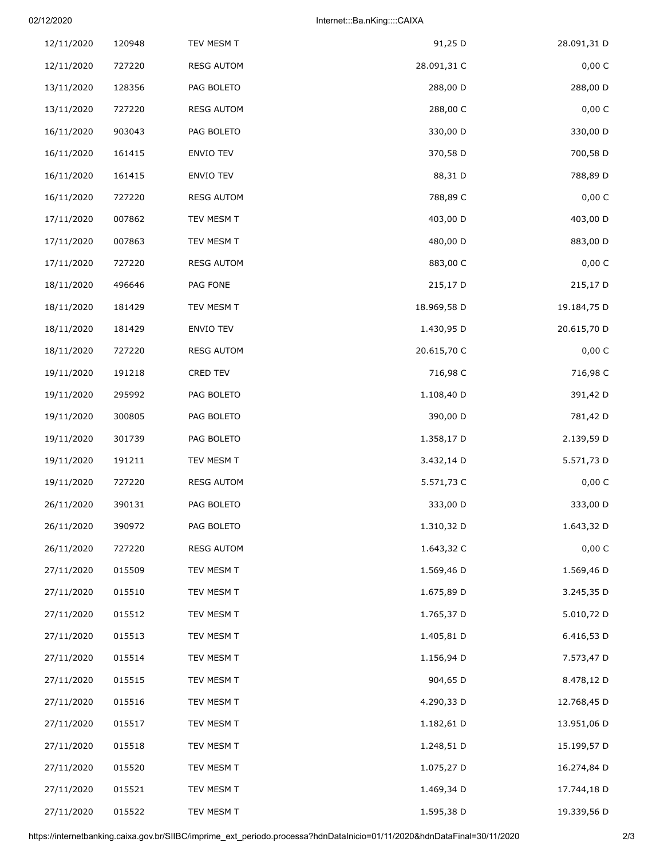## 02/12/2020 Internet:::Ba.nKing::::CAIXA

| 12/11/2020 | 120948 | TEV MESM T        | 91,25 D     | 28.091,31 D |
|------------|--------|-------------------|-------------|-------------|
| 12/11/2020 | 727220 | <b>RESG AUTOM</b> | 28.091,31 C | 0,00C       |
| 13/11/2020 | 128356 | PAG BOLETO        | 288,00 D    | 288,00 D    |
| 13/11/2020 | 727220 | <b>RESG AUTOM</b> | 288,00 C    | 0,00 C      |
| 16/11/2020 | 903043 | PAG BOLETO        | 330,00 D    | 330,00 D    |
| 16/11/2020 | 161415 | ENVIO TEV         | 370,58 D    | 700,58 D    |
| 16/11/2020 | 161415 | ENVIO TEV         | 88,31 D     | 788,89 D    |
| 16/11/2020 | 727220 | <b>RESG AUTOM</b> | 788,89 C    | 0,00 C      |
| 17/11/2020 | 007862 | TEV MESM T        | 403,00 D    | 403,00 D    |
| 17/11/2020 | 007863 | TEV MESM T        | 480,00 D    | 883,00 D    |
| 17/11/2020 | 727220 | <b>RESG AUTOM</b> | 883,00 C    | 0,00 C      |
| 18/11/2020 | 496646 | PAG FONE          | 215,17 D    | 215,17 D    |
| 18/11/2020 | 181429 | TEV MESM T        | 18.969,58 D | 19.184,75 D |
| 18/11/2020 | 181429 | ENVIO TEV         | 1.430,95 D  | 20.615,70 D |
| 18/11/2020 | 727220 | <b>RESG AUTOM</b> | 20.615,70 C | 0,00 C      |
| 19/11/2020 | 191218 | CRED TEV          | 716,98 C    | 716,98 C    |
| 19/11/2020 | 295992 | PAG BOLETO        | 1.108,40 D  | 391,42 D    |
| 19/11/2020 | 300805 | PAG BOLETO        | 390,00 D    | 781,42 D    |
| 19/11/2020 | 301739 | PAG BOLETO        | 1.358,17 D  | 2.139,59 D  |
| 19/11/2020 | 191211 | TEV MESM T        | 3.432,14 D  | 5.571,73 D  |
| 19/11/2020 | 727220 | <b>RESG AUTOM</b> | 5.571,73 C  | 0,00C       |
| 26/11/2020 | 390131 | PAG BOLETO        | 333,00 D    | 333,00 D    |
| 26/11/2020 | 390972 | PAG BOLETO        | 1.310,32 D  | 1.643,32 D  |
| 26/11/2020 | 727220 | <b>RESG AUTOM</b> | 1.643,32 C  | 0,00 C      |
| 27/11/2020 | 015509 | TEV MESM T        | 1.569,46 D  | 1.569,46 D  |
| 27/11/2020 | 015510 | TEV MESM T        | 1.675,89 D  | 3.245,35 D  |
| 27/11/2020 | 015512 | TEV MESM T        | 1.765,37 D  | 5.010,72 D  |
| 27/11/2020 | 015513 | TEV MESM T        | 1.405,81 D  | 6.416,53 D  |
| 27/11/2020 | 015514 | TEV MESM T        | 1.156,94 D  | 7.573,47 D  |
| 27/11/2020 | 015515 | TEV MESM T        | 904,65 D    | 8.478,12 D  |
| 27/11/2020 | 015516 | TEV MESM T        | 4.290,33 D  | 12.768,45 D |
| 27/11/2020 | 015517 | TEV MESM T        | 1.182,61 D  | 13.951,06 D |
| 27/11/2020 | 015518 | TEV MESM T        | 1.248,51 D  | 15.199,57 D |
| 27/11/2020 | 015520 | TEV MESM T        | 1.075,27 D  | 16.274,84 D |
| 27/11/2020 | 015521 | TEV MESM T        | 1.469,34 D  | 17.744,18 D |
| 27/11/2020 | 015522 | TEV MESM T        | 1.595,38 D  | 19.339,56 D |

https://internetbanking.caixa.gov.br/SIIBC/imprime\_ext\_periodo.processa?hdnDataInicio=01/11/2020&hdnDataFinal=30/11/2020 2/3